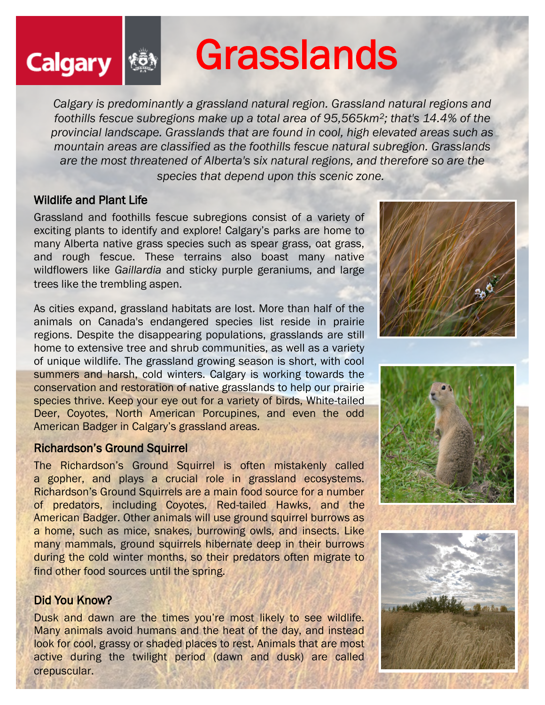# Grasslands

*Calgary is predominantly a grassland natural region. Grassland natural regions and foothills fescue subregions make up a total area of 95,565km2; that's 14.4% of the provincial landscape. Grasslands that are found in cool, high elevated areas such as mountain areas are classified as the foothills fescue natural subregion. Grasslands are the most threatened of Alberta's six natural regions, and therefore so are the species that depend upon this scenic zone.*

#### Wildlife and Plant Life

**Calgary** 

Grassland and foothills fescue subregions consist of a variety of exciting plants to identify and explore! Calgary's parks are home to many Alberta native grass species such as spear grass, oat grass, and rough fescue. These terrains also boast many native wildflowers like *Gaillardia* and sticky purple geraniums, and large trees like the trembling aspen.

As cities expand, grassland habitats are lost. More than half of the animals on Canada's endangered species list reside in prairie regions. Despite the disappearing populations, grasslands are still home to extensive tree and shrub communities, as well as a variety of unique wildlife. The grassland growing season is short, with cool summers and harsh, cold winters. Calgary is working towards the conservation and restoration of native grasslands to help our prairie species thrive. Keep your eye out for a variety of birds, White-tailed Deer, Coyotes, North American Porcupines, and even the odd American Badger in Calgary's grassland areas.

#### Richardson's Ground Squirrel

The Richardson's Ground Squirrel is often mistakenly called a gopher, and plays a crucial role in grassland ecosystems. Richardson's Ground Squirrels are a main food source for a number of predators, including Coyotes, Red-tailed Hawks, and the American Badger. Other animals will use ground squirrel burrows as a home, such as mice, snakes, burrowing owls, and insects. Like many mammals, ground squirrels hibernate deep in their burrows during the cold winter months, so their predators often migrate to find other food sources until the spring.

### Did You Know?

Dusk and dawn are the times you're most likely to see wildlife. Many animals avoid humans and the heat of the day, and instead look for cool, grassy or shaded places to rest. Animals that are most active during the twilight period (dawn and dusk) are called crepuscular.





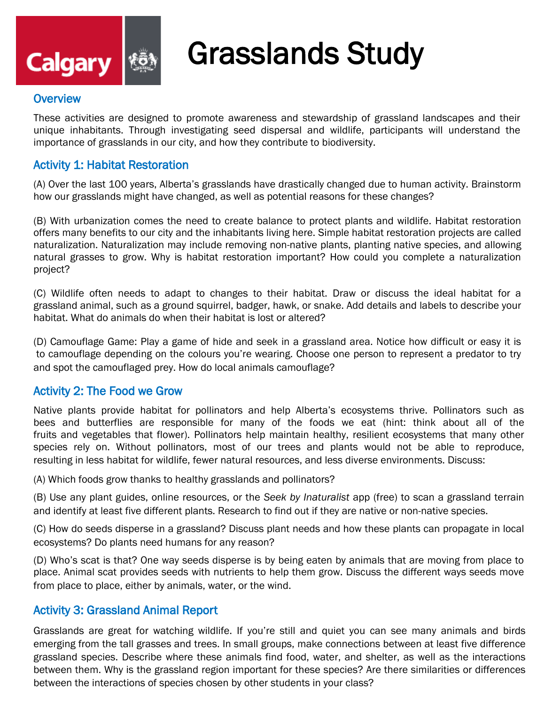

# Grasslands Study

#### **Overview**

These activities are designed to promote awareness and stewardship of grassland landscapes and their unique inhabitants. Through investigating seed dispersal and wildlife, participants will understand the importance of grasslands in our city, and how they contribute to biodiversity.

#### Activity 1: Habitat Restoration

(A) Over the last 100 years, Alberta's grasslands have drastically changed due to human activity. Brainstorm how our grasslands might have changed, as well as potential reasons for these changes?

(B) With urbanization comes the need to create balance to protect plants and wildlife. Habitat restoration offers many benefits to our city and the inhabitants living here. Simple habitat restoration projects are called naturalization. Naturalization may include removing non-native plants, planting native species, and allowing natural grasses to grow. Why is habitat restoration important? How could you complete a naturalization project?

(C) Wildlife often needs to adapt to changes to their habitat. Draw or discuss the ideal habitat for a grassland animal, such as a ground squirrel, badger, hawk, or snake. Add details and labels to describe your habitat. What do animals do when their habitat is lost or altered?

(D) Camouflage Game: Play a game of hide and seek in a grassland area. Notice how difficult or easy it is to camouflage depending on the colours you're wearing. Choose one person to represent a predator to try and spot the camouflaged prey. How do local animals camouflage?

#### Activity 2: The Food we Grow

Native plants provide habitat for pollinators and help Alberta's ecosystems thrive. Pollinators such as bees and butterflies are responsible for many of the foods we eat (hint: think about all of the fruits and vegetables that flower). Pollinators help maintain healthy, resilient ecosystems that many other species rely on. Without pollinators, most of our trees and plants would not be able to reproduce, resulting in less habitat for wildlife, fewer natural resources, and less diverse environments. Discuss:

(A) Which foods grow thanks to healthy grasslands and pollinators?

(B) Use any plant guides, online resources, or the *Seek by Inaturalist* app (free) to scan a grassland terrain and identify at least five different plants. Research to find out if they are native or non-native species.

(C) How do seeds disperse in a grassland? Discuss plant needs and how these plants can propagate in local ecosystems? Do plants need humans for any reason?

(D) Who's scat is that? One way seeds disperse is by being eaten by animals that are moving from place to place. Animal scat provides seeds with nutrients to help them grow. Discuss the different ways seeds move from place to place, either by animals, water, or the wind.

#### Activity 3: Grassland Animal Report

Grasslands are great for watching wildlife. If you're still and quiet you can see many animals and birds emerging from the tall grasses and trees. In small groups, make connections between at least five difference grassland species. Describe where these animals find food, water, and shelter, as well as the interactions between them. Why is the grassland region important for these species? Are there similarities or differences between the interactions of species chosen by other students in your class?